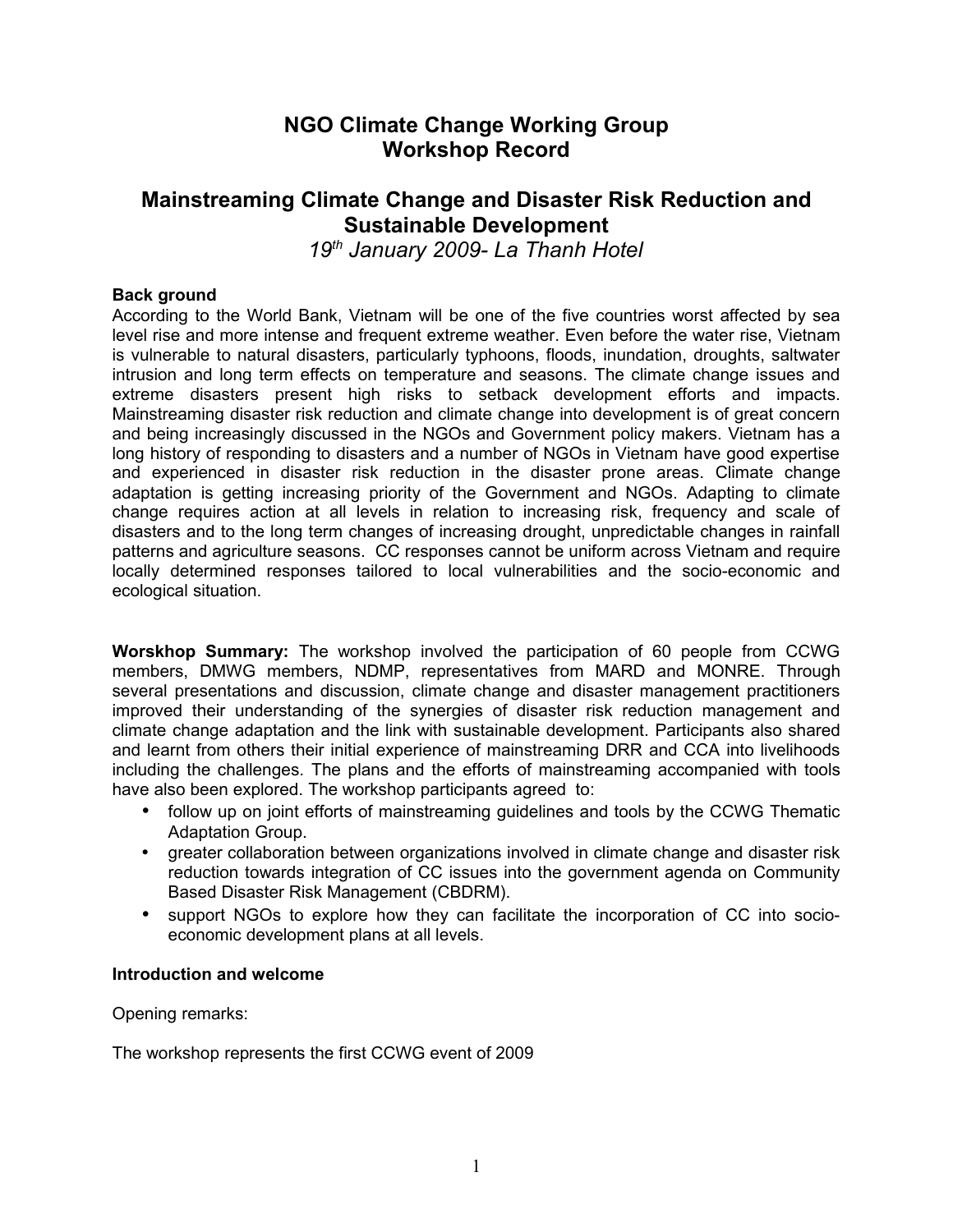# **NGO Climate Change Working Group Workshop Record**

# **Mainstreaming Climate Change and Disaster Risk Reduction and Sustainable Development**

*19th January 2009- La Thanh Hotel*

### **Back ground**

According to the World Bank, Vietnam will be one of the five countries worst affected by sea level rise and more intense and frequent extreme weather. Even before the water rise, Vietnam is vulnerable to natural disasters, particularly typhoons, floods, inundation, droughts, saltwater intrusion and long term effects on temperature and seasons. The climate change issues and extreme disasters present high risks to setback development efforts and impacts. Mainstreaming disaster risk reduction and climate change into development is of great concern and being increasingly discussed in the NGOs and Government policy makers. Vietnam has a long history of responding to disasters and a number of NGOs in Vietnam have good expertise and experienced in disaster risk reduction in the disaster prone areas. Climate change adaptation is getting increasing priority of the Government and NGOs. Adapting to climate change requires action at all levels in relation to increasing risk, frequency and scale of disasters and to the long term changes of increasing drought, unpredictable changes in rainfall patterns and agriculture seasons. CC responses cannot be uniform across Vietnam and require locally determined responses tailored to local vulnerabilities and the socio-economic and ecological situation.

**Worskhop Summary:** The workshop involved the participation of 60 people from CCWG members, DMWG members, NDMP, representatives from MARD and MONRE. Through several presentations and discussion, climate change and disaster management practitioners improved their understanding of the synergies of disaster risk reduction management and climate change adaptation and the link with sustainable development. Participants also shared and learnt from others their initial experience of mainstreaming DRR and CCA into livelihoods including the challenges. The plans and the efforts of mainstreaming accompanied with tools have also been explored. The workshop participants agreed to:

- follow up on joint efforts of mainstreaming guidelines and tools by the CCWG Thematic Adaptation Group.
- greater collaboration between organizations involved in climate change and disaster risk reduction towards integration of CC issues into the government agenda on Community Based Disaster Risk Management (CBDRM).
- support NGOs to explore how they can facilitate the incorporation of CC into socioeconomic development plans at all levels.

#### **Introduction and welcome**

Opening remarks:

The workshop represents the first CCWG event of 2009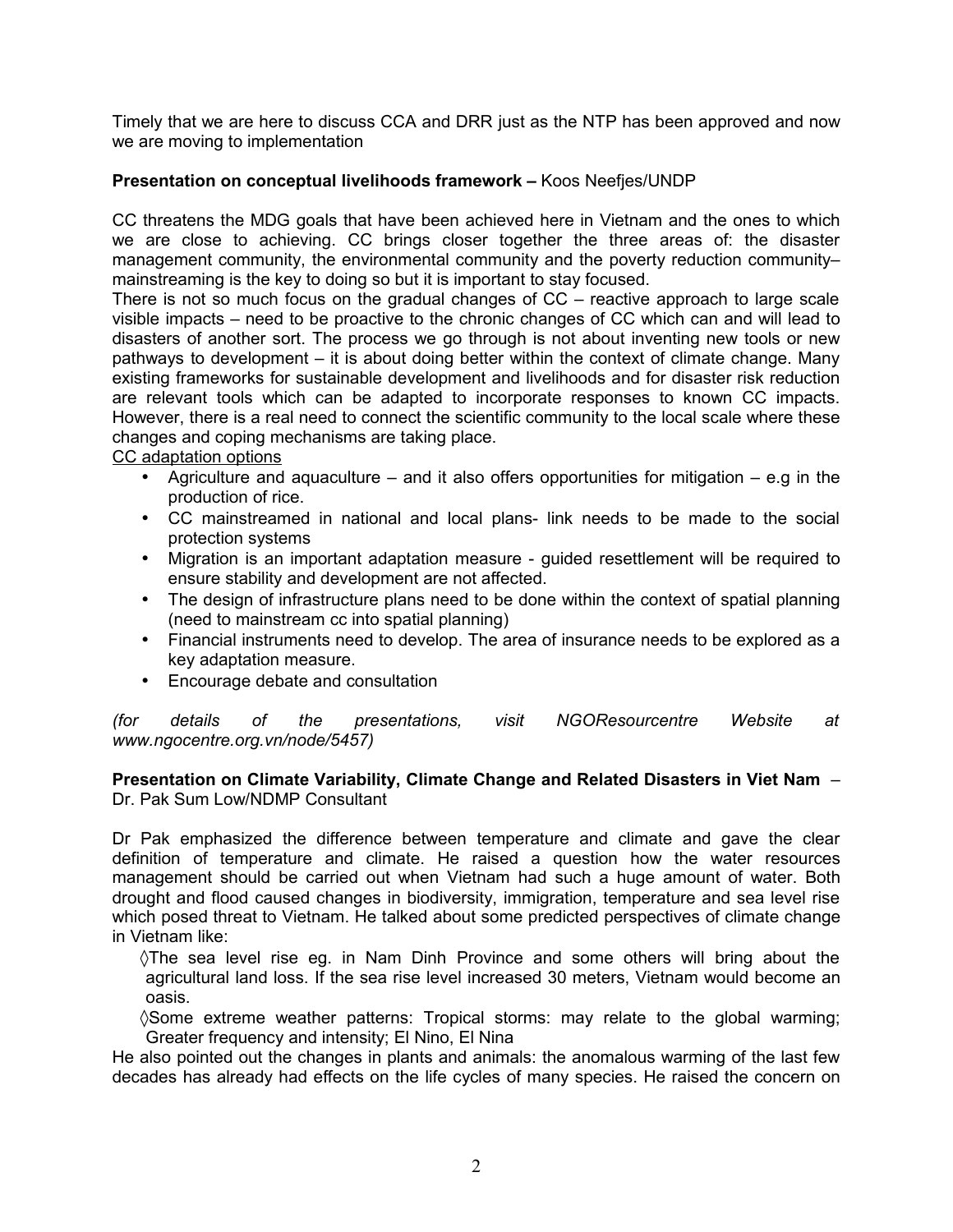Timely that we are here to discuss CCA and DRR just as the NTP has been approved and now we are moving to implementation

#### **Presentation on conceptual livelihoods framework –** Koos Neefjes/UNDP

CC threatens the MDG goals that have been achieved here in Vietnam and the ones to which we are close to achieving. CC brings closer together the three areas of: the disaster management community, the environmental community and the poverty reduction community– mainstreaming is the key to doing so but it is important to stay focused.

There is not so much focus on the gradual changes of CC – reactive approach to large scale visible impacts – need to be proactive to the chronic changes of CC which can and will lead to disasters of another sort. The process we go through is not about inventing new tools or new pathways to development – it is about doing better within the context of climate change. Many existing frameworks for sustainable development and livelihoods and for disaster risk reduction are relevant tools which can be adapted to incorporate responses to known CC impacts. However, there is a real need to connect the scientific community to the local scale where these changes and coping mechanisms are taking place.

CC adaptation options

- Agriculture and aquaculture and it also offers opportunities for mitigation  $-$  e.g in the production of rice.
- CC mainstreamed in national and local plans- link needs to be made to the social protection systems
- Migration is an important adaptation measure guided resettlement will be required to ensure stability and development are not affected.
- The design of infrastructure plans need to be done within the context of spatial planning (need to mainstream cc into spatial planning)
- Financial instruments need to develop. The area of insurance needs to be explored as a key adaptation measure.
- Encourage debate and consultation

*(for details of the presentations, visit NGOResourcentre Website at www.ngocentre.org.vn/node/5457)*

**Presentation on Climate Variability, Climate Change and Related Disasters in Viet Nam** – Dr. Pak Sum Low/NDMP Consultant

Dr Pak emphasized the difference between temperature and climate and gave the clear definition of temperature and climate. He raised a question how the water resources management should be carried out when Vietnam had such a huge amount of water. Both drought and flood caused changes in biodiversity, immigration, temperature and sea level rise which posed threat to Vietnam. He talked about some predicted perspectives of climate change in Vietnam like:

◊The sea level rise eg. in Nam Dinh Province and some others will bring about the agricultural land loss. If the sea rise level increased 30 meters, Vietnam would become an oasis.

◊Some extreme weather patterns: Tropical storms: may relate to the global warming; Greater frequency and intensity; El Nino, El Nina

He also pointed out the changes in plants and animals: the anomalous warming of the last few decades has already had effects on the life cycles of many species. He raised the concern on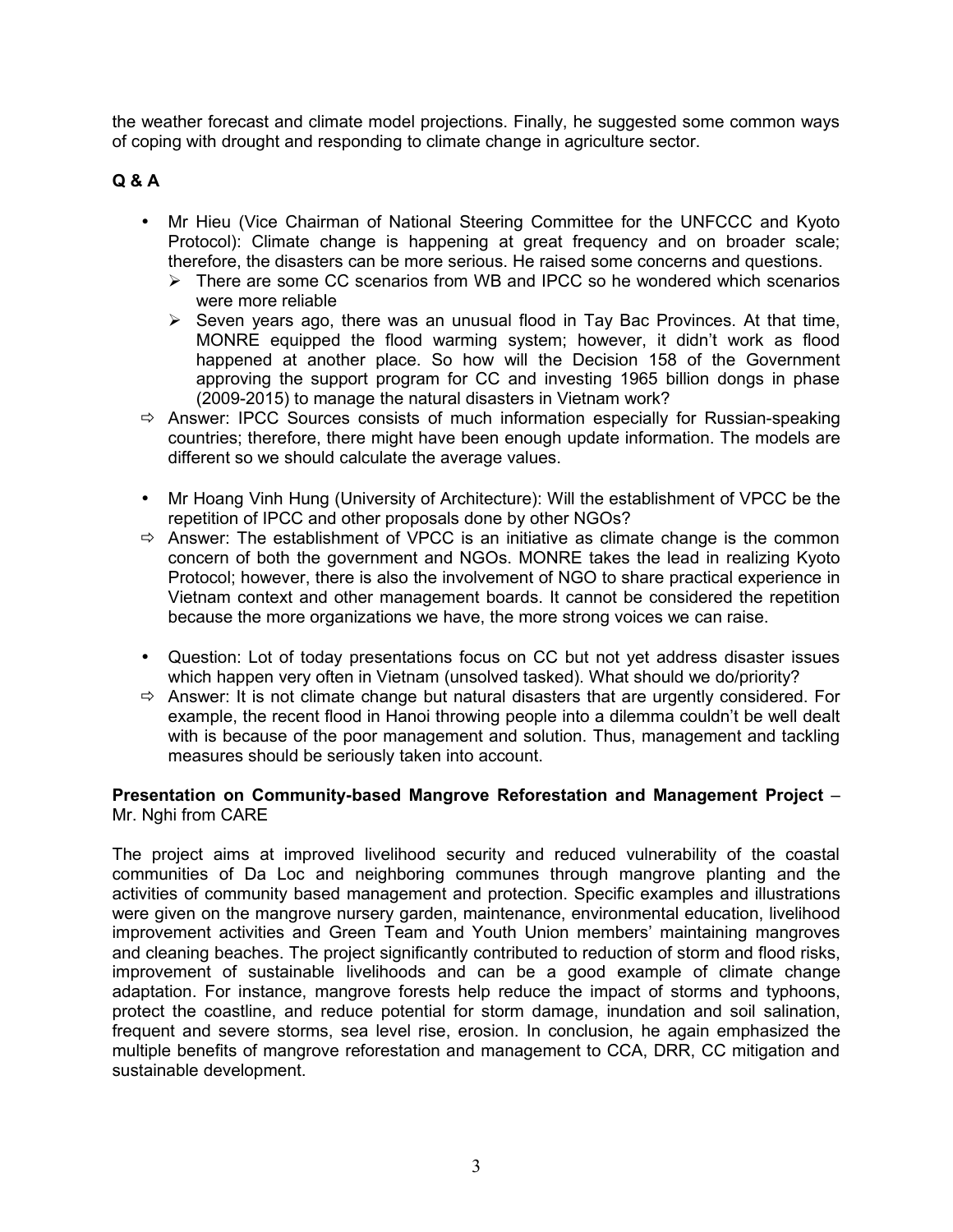the weather forecast and climate model projections. Finally, he suggested some common ways of coping with drought and responding to climate change in agriculture sector.

# **Q & A**

- Mr Hieu (Vice Chairman of National Steering Committee for the UNFCCC and Kyoto Protocol): Climate change is happening at great frequency and on broader scale; therefore, the disasters can be more serious. He raised some concerns and questions.
	- $\triangleright$  There are some CC scenarios from WB and IPCC so he wondered which scenarios were more reliable
	- $\triangleright$  Seven years ago, there was an unusual flood in Tay Bac Provinces. At that time, MONRE equipped the flood warming system; however, it didn't work as flood happened at another place. So how will the Decision 158 of the Government approving the support program for CC and investing 1965 billion dongs in phase (2009-2015) to manage the natural disasters in Vietnam work?
- $\Rightarrow$  Answer: IPCC Sources consists of much information especially for Russian-speaking countries; therefore, there might have been enough update information. The models are different so we should calculate the average values.
- Mr Hoang Vinh Hung (University of Architecture): Will the establishment of VPCC be the repetition of IPCC and other proposals done by other NGOs?
- $\Rightarrow$  Answer: The establishment of VPCC is an initiative as climate change is the common concern of both the government and NGOs. MONRE takes the lead in realizing Kyoto Protocol; however, there is also the involvement of NGO to share practical experience in Vietnam context and other management boards. It cannot be considered the repetition because the more organizations we have, the more strong voices we can raise.
- Question: Lot of today presentations focus on CC but not yet address disaster issues which happen very often in Vietnam (unsolved tasked). What should we do/priority?
- $\Rightarrow$  Answer: It is not climate change but natural disasters that are urgently considered. For example, the recent flood in Hanoi throwing people into a dilemma couldn't be well dealt with is because of the poor management and solution. Thus, management and tackling measures should be seriously taken into account.

#### **Presentation on Community-based Mangrove Reforestation and Management Project** – Mr. Nghi from CARE

The project aims at improved livelihood security and reduced vulnerability of the coastal communities of Da Loc and neighboring communes through mangrove planting and the activities of community based management and protection. Specific examples and illustrations were given on the mangrove nursery garden, maintenance, environmental education, livelihood improvement activities and Green Team and Youth Union members' maintaining mangroves and cleaning beaches. The project significantly contributed to reduction of storm and flood risks, improvement of sustainable livelihoods and can be a good example of climate change adaptation. For instance, mangrove forests help reduce the impact of storms and typhoons, protect the coastline, and reduce potential for storm damage, inundation and soil salination, frequent and severe storms, sea level rise, erosion. In conclusion, he again emphasized the multiple benefits of mangrove reforestation and management to CCA, DRR, CC mitigation and sustainable development.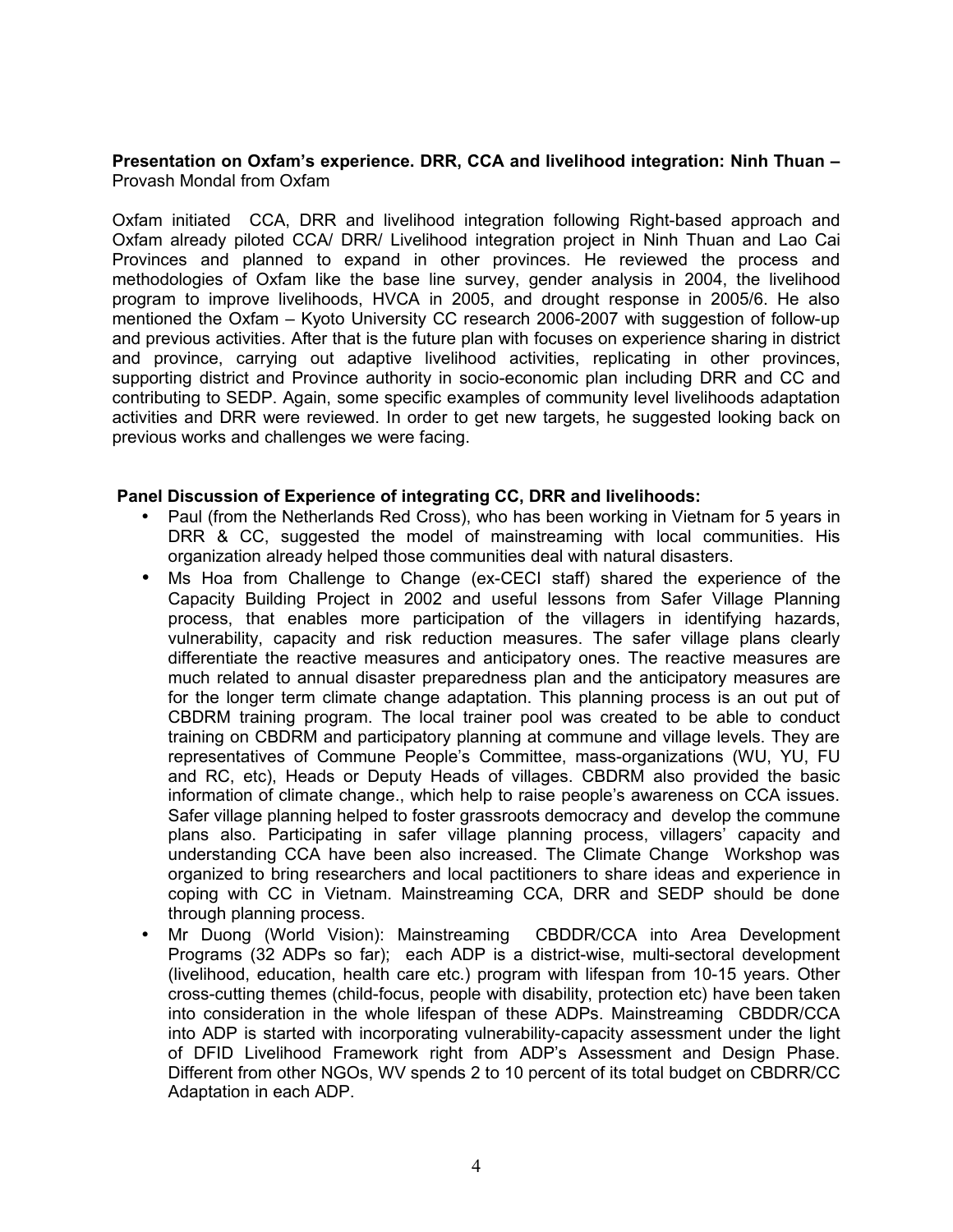#### **Presentation on Oxfam's experience. DRR, CCA and livelihood integration: Ninh Thuan –** Provash Mondal from Oxfam

Oxfam initiated CCA, DRR and livelihood integration following Right-based approach and Oxfam already piloted CCA/ DRR/ Livelihood integration project in Ninh Thuan and Lao Cai Provinces and planned to expand in other provinces. He reviewed the process and methodologies of Oxfam like the base line survey, gender analysis in 2004, the livelihood program to improve livelihoods, HVCA in 2005, and drought response in 2005/6. He also mentioned the Oxfam – Kyoto University CC research 2006-2007 with suggestion of follow-up and previous activities. After that is the future plan with focuses on experience sharing in district and province, carrying out adaptive livelihood activities, replicating in other provinces, supporting district and Province authority in socio-economic plan including DRR and CC and contributing to SEDP. Again, some specific examples of community level livelihoods adaptation activities and DRR were reviewed. In order to get new targets, he suggested looking back on previous works and challenges we were facing.

#### **Panel Discussion of Experience of integrating CC, DRR and livelihoods:**

- Paul (from the Netherlands Red Cross), who has been working in Vietnam for 5 years in DRR & CC, suggested the model of mainstreaming with local communities. His organization already helped those communities deal with natural disasters.
- Ms Hoa from Challenge to Change (ex-CECI staff) shared the experience of the Capacity Building Project in 2002 and useful lessons from Safer Village Planning process, that enables more participation of the villagers in identifying hazards, vulnerability, capacity and risk reduction measures. The safer village plans clearly differentiate the reactive measures and anticipatory ones. The reactive measures are much related to annual disaster preparedness plan and the anticipatory measures are for the longer term climate change adaptation. This planning process is an out put of CBDRM training program. The local trainer pool was created to be able to conduct training on CBDRM and participatory planning at commune and village levels. They are representatives of Commune People's Committee, mass-organizations (WU, YU, FU and RC, etc), Heads or Deputy Heads of villages. CBDRM also provided the basic information of climate change., which help to raise people's awareness on CCA issues. Safer village planning helped to foster grassroots democracy and develop the commune plans also. Participating in safer village planning process, villagers' capacity and understanding CCA have been also increased. The Climate Change Workshop was organized to bring researchers and local pactitioners to share ideas and experience in coping with CC in Vietnam. Mainstreaming CCA, DRR and SEDP should be done through planning process.
- Mr Duong (World Vision): Mainstreaming CBDDR/CCA into Area Development Programs (32 ADPs so far); each ADP is a district-wise, multi-sectoral development (livelihood, education, health care etc.) program with lifespan from 10-15 years. Other cross-cutting themes (child-focus, people with disability, protection etc) have been taken into consideration in the whole lifespan of these ADPs. Mainstreaming CBDDR/CCA into ADP is started with incorporating vulnerability-capacity assessment under the light of DFID Livelihood Framework right from ADP's Assessment and Design Phase. Different from other NGOs, WV spends 2 to 10 percent of its total budget on CBDRR/CC Adaptation in each ADP.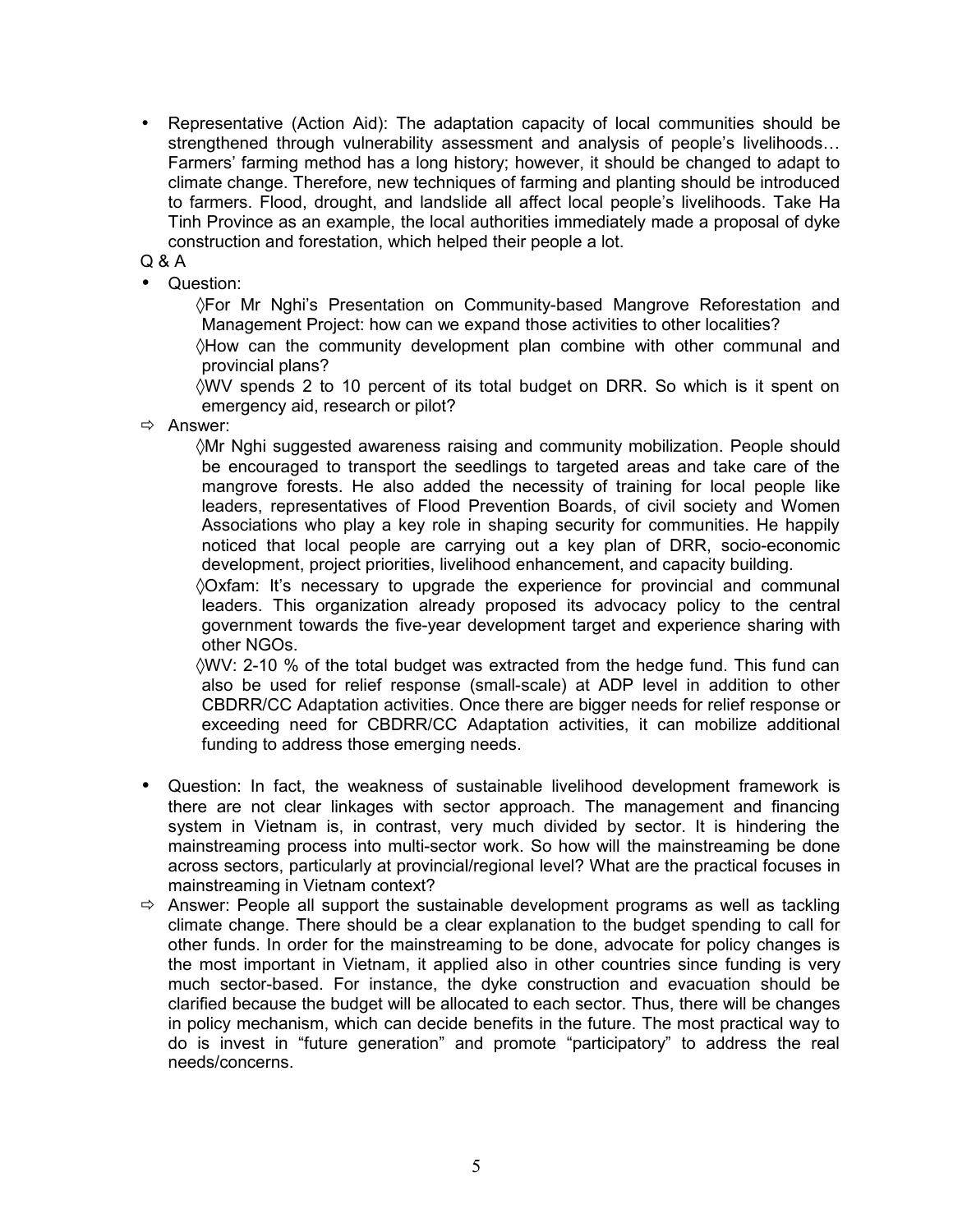• Representative (Action Aid): The adaptation capacity of local communities should be strengthened through vulnerability assessment and analysis of people's livelihoods… Farmers' farming method has a long history; however, it should be changed to adapt to climate change. Therefore, new techniques of farming and planting should be introduced to farmers. Flood, drought, and landslide all affect local people's livelihoods. Take Ha Tinh Province as an example, the local authorities immediately made a proposal of dyke construction and forestation, which helped their people a lot.

Q & A

• Question:

◊For Mr Nghi's Presentation on Community-based Mangrove Reforestation and Management Project: how can we expand those activities to other localities?

◊How can the community development plan combine with other communal and provincial plans?

◊WV spends 2 to 10 percent of its total budget on DRR. So which is it spent on emergency aid, research or pilot?

 $\Rightarrow$  Answer:

◊Mr Nghi suggested awareness raising and community mobilization. People should be encouraged to transport the seedlings to targeted areas and take care of the mangrove forests. He also added the necessity of training for local people like leaders, representatives of Flood Prevention Boards, of civil society and Women Associations who play a key role in shaping security for communities. He happily noticed that local people are carrying out a key plan of DRR, socio-economic development, project priorities, livelihood enhancement, and capacity building.

◊Oxfam: It's necessary to upgrade the experience for provincial and communal leaders. This organization already proposed its advocacy policy to the central government towards the five-year development target and experience sharing with other NGOs.

◊WV: 2-10 % of the total budget was extracted from the hedge fund. This fund can also be used for relief response (small-scale) at ADP level in addition to other CBDRR/CC Adaptation activities. Once there are bigger needs for relief response or exceeding need for CBDRR/CC Adaptation activities, it can mobilize additional funding to address those emerging needs.

- Question: In fact, the weakness of sustainable livelihood development framework is there are not clear linkages with sector approach. The management and financing system in Vietnam is, in contrast, very much divided by sector. It is hindering the mainstreaming process into multi-sector work. So how will the mainstreaming be done across sectors, particularly at provincial/regional level? What are the practical focuses in mainstreaming in Vietnam context?
- $\Rightarrow$  Answer: People all support the sustainable development programs as well as tackling climate change. There should be a clear explanation to the budget spending to call for other funds. In order for the mainstreaming to be done, advocate for policy changes is the most important in Vietnam, it applied also in other countries since funding is very much sector-based. For instance, the dyke construction and evacuation should be clarified because the budget will be allocated to each sector. Thus, there will be changes in policy mechanism, which can decide benefits in the future. The most practical way to do is invest in "future generation" and promote "participatory" to address the real needs/concerns.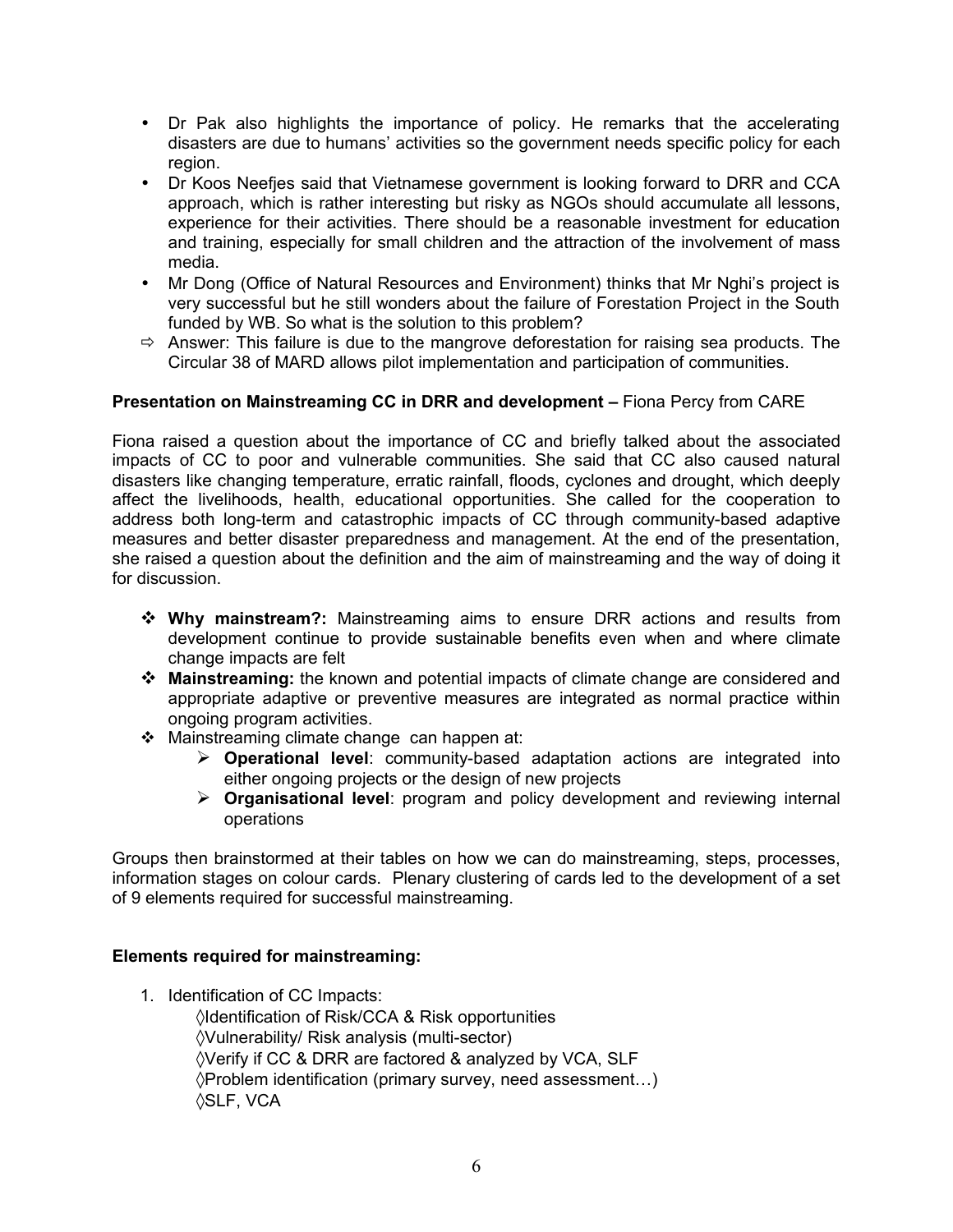- Dr Pak also highlights the importance of policy. He remarks that the accelerating disasters are due to humans' activities so the government needs specific policy for each region.
- Dr Koos Neefjes said that Vietnamese government is looking forward to DRR and CCA approach, which is rather interesting but risky as NGOs should accumulate all lessons, experience for their activities. There should be a reasonable investment for education and training, especially for small children and the attraction of the involvement of mass media.
- Mr Dong (Office of Natural Resources and Environment) thinks that Mr Nghi's project is very successful but he still wonders about the failure of Forestation Project in the South funded by WB. So what is the solution to this problem?
- $\Rightarrow$  Answer: This failure is due to the mangrove deforestation for raising sea products. The Circular 38 of MARD allows pilot implementation and participation of communities.

## **Presentation on Mainstreaming CC in DRR and development - Fiona Percy from CARE**

Fiona raised a question about the importance of CC and briefly talked about the associated impacts of CC to poor and vulnerable communities. She said that CC also caused natural disasters like changing temperature, erratic rainfall, floods, cyclones and drought, which deeply affect the livelihoods, health, educational opportunities. She called for the cooperation to address both long-term and catastrophic impacts of CC through community-based adaptive measures and better disaster preparedness and management. At the end of the presentation, she raised a question about the definition and the aim of mainstreaming and the way of doing it for discussion.

- **Why mainstream?:** Mainstreaming aims to ensure DRR actions and results from development continue to provide sustainable benefits even when and where climate change impacts are felt
- **Mainstreaming:** the known and potential impacts of climate change are considered and appropriate adaptive or preventive measures are integrated as normal practice within ongoing program activities.
- ❖ Mainstreaming climate change can happen at:
	- **Operational level**: community-based adaptation actions are integrated into either ongoing projects or the design of new projects
	- **Organisational level**: program and policy development and reviewing internal operations

Groups then brainstormed at their tables on how we can do mainstreaming, steps, processes, information stages on colour cards. Plenary clustering of cards led to the development of a set of 9 elements required for successful mainstreaming.

#### **Elements required for mainstreaming:**

1. Identification of CC Impacts:

◊Identification of Risk/CCA & Risk opportunities ◊Vulnerability/ Risk analysis (multi-sector) ◊Verify if CC & DRR are factored & analyzed by VCA, SLF ◊Problem identification (primary survey, need assessment…) ◊SLF, VCA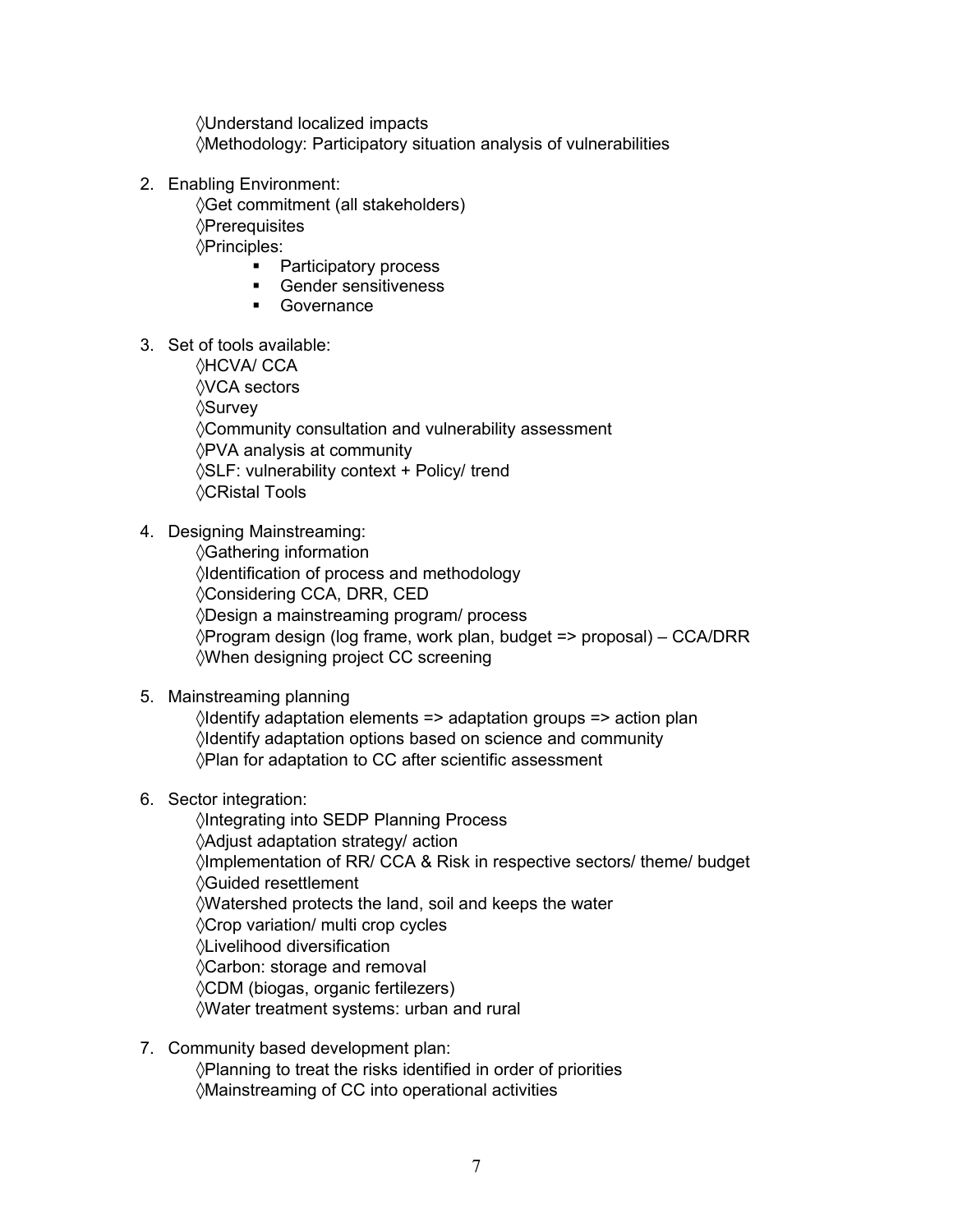◊Understand localized impacts ◊Methodology: Participatory situation analysis of vulnerabilities

- 2. Enabling Environment: ◊Get commitment (all stakeholders) ◊Prerequisites ◊Principles:
	- Participatory process
	- **Gender sensitiveness**
	- **Governance**
- 3. Set of tools available:

◊HCVA/ CCA ◊VCA sectors ◊Survey ◊Community consultation and vulnerability assessment ◊PVA analysis at community ◊SLF: vulnerability context + Policy/ trend ◊CRistal Tools

4. Designing Mainstreaming:

◊Gathering information ◊Identification of process and methodology ◊Considering CCA, DRR, CED ◊Design a mainstreaming program/ process ◊Program design (log frame, work plan, budget => proposal) – CCA/DRR ◊When designing project CC screening

#### 5. Mainstreaming planning

◊Identify adaptation elements => adaptation groups => action plan ◊Identify adaptation options based on science and community ◊Plan for adaptation to CC after scientific assessment

#### 6. Sector integration:

◊Integrating into SEDP Planning Process ◊Adjust adaptation strategy/ action ◊Implementation of RR/ CCA & Risk in respective sectors/ theme/ budget ◊Guided resettlement ◊Watershed protects the land, soil and keeps the water ◊Crop variation/ multi crop cycles ◊Livelihood diversification ◊Carbon: storage and removal ◊CDM (biogas, organic fertilezers) ◊Water treatment systems: urban and rural

7. Community based development plan: ◊Planning to treat the risks identified in order of priorities ◊Mainstreaming of CC into operational activities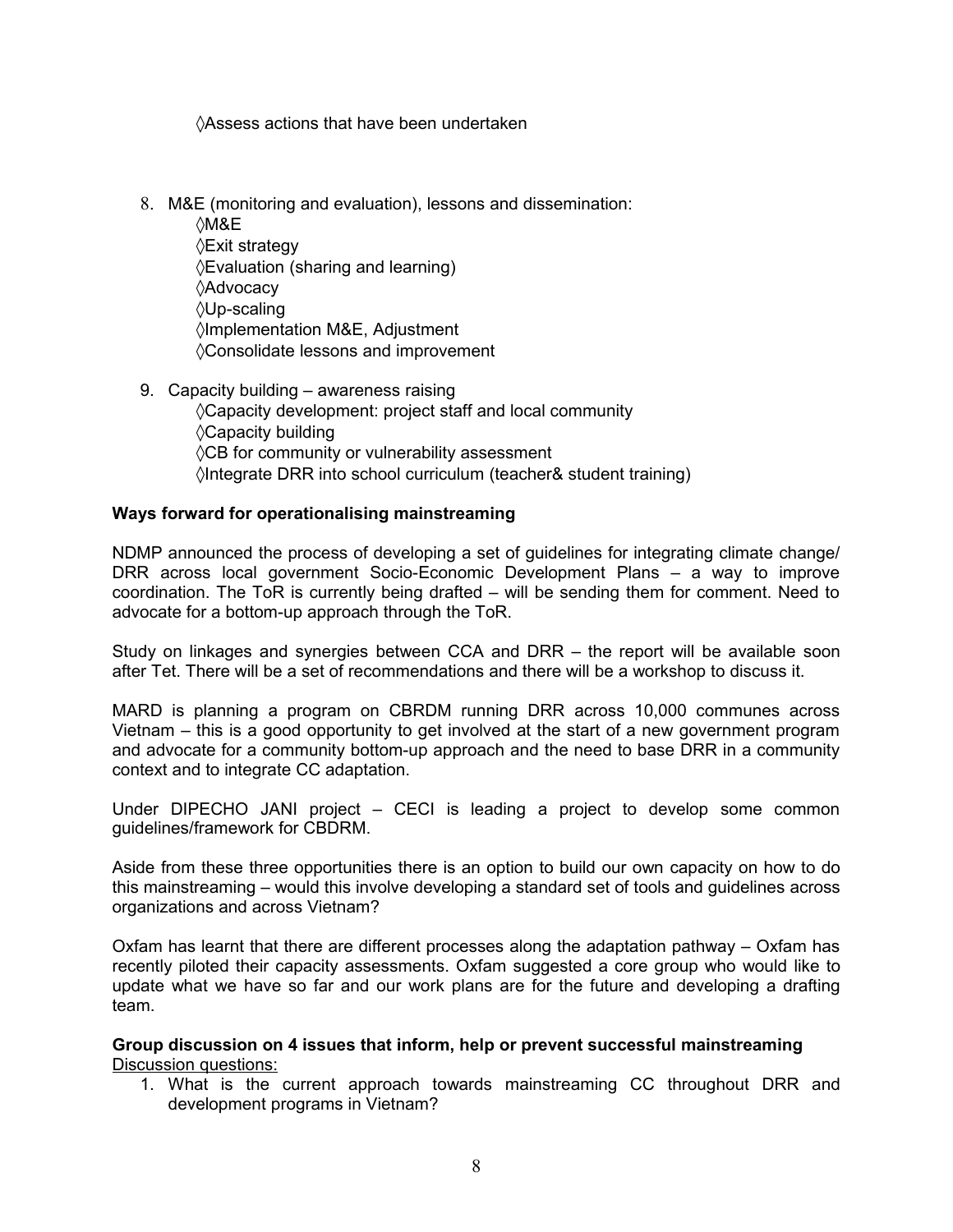◊Assess actions that have been undertaken

- 8. M&E (monitoring and evaluation), lessons and dissemination:
	- ◊M&E ◊Exit strategy ◊Evaluation (sharing and learning) ◊Advocacy ◊Up-scaling ◊Implementation M&E, Adjustment ◊Consolidate lessons and improvement
- 9. Capacity building awareness raising ◊Capacity development: project staff and local community ◊Capacity building ◊CB for community or vulnerability assessment ◊Integrate DRR into school curriculum (teacher& student training)

#### **Ways forward for operationalising mainstreaming**

NDMP announced the process of developing a set of guidelines for integrating climate change/ DRR across local government Socio-Economic Development Plans – a way to improve coordination. The ToR is currently being drafted – will be sending them for comment. Need to advocate for a bottom-up approach through the ToR.

Study on linkages and synergies between CCA and DRR – the report will be available soon after Tet. There will be a set of recommendations and there will be a workshop to discuss it.

MARD is planning a program on CBRDM running DRR across 10,000 communes across Vietnam – this is a good opportunity to get involved at the start of a new government program and advocate for a community bottom-up approach and the need to base DRR in a community context and to integrate CC adaptation.

Under DIPECHO JANI project – CECI is leading a project to develop some common guidelines/framework for CBDRM.

Aside from these three opportunities there is an option to build our own capacity on how to do this mainstreaming – would this involve developing a standard set of tools and guidelines across organizations and across Vietnam?

Oxfam has learnt that there are different processes along the adaptation pathway – Oxfam has recently piloted their capacity assessments. Oxfam suggested a core group who would like to update what we have so far and our work plans are for the future and developing a drafting team.

**Group discussion on 4 issues that inform, help or prevent successful mainstreaming** Discussion questions:

1. What is the current approach towards mainstreaming CC throughout DRR and development programs in Vietnam?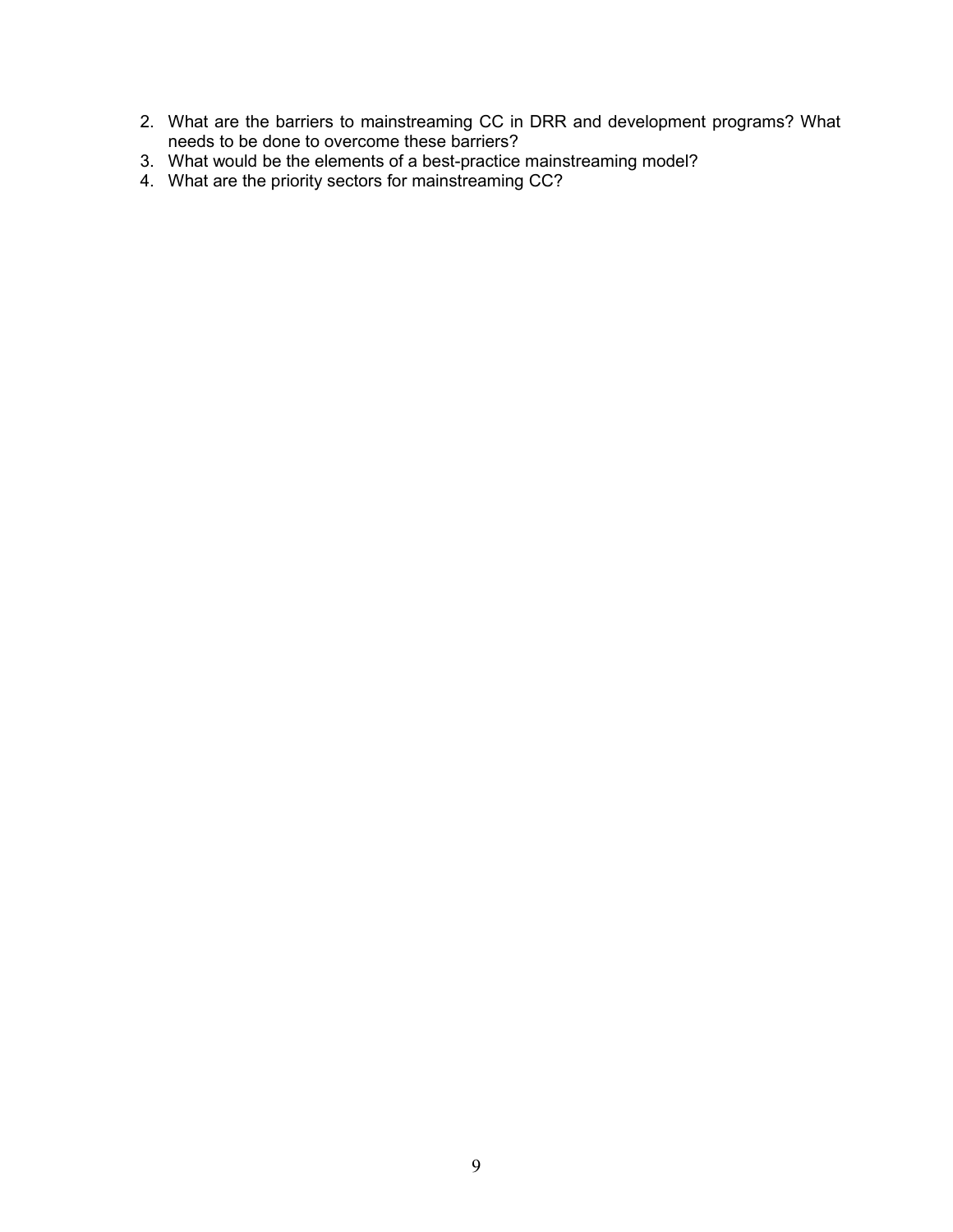- 2. What are the barriers to mainstreaming CC in DRR and development programs? What needs to be done to overcome these barriers?
- 3. What would be the elements of a best-practice mainstreaming model?
- 4. What are the priority sectors for mainstreaming CC?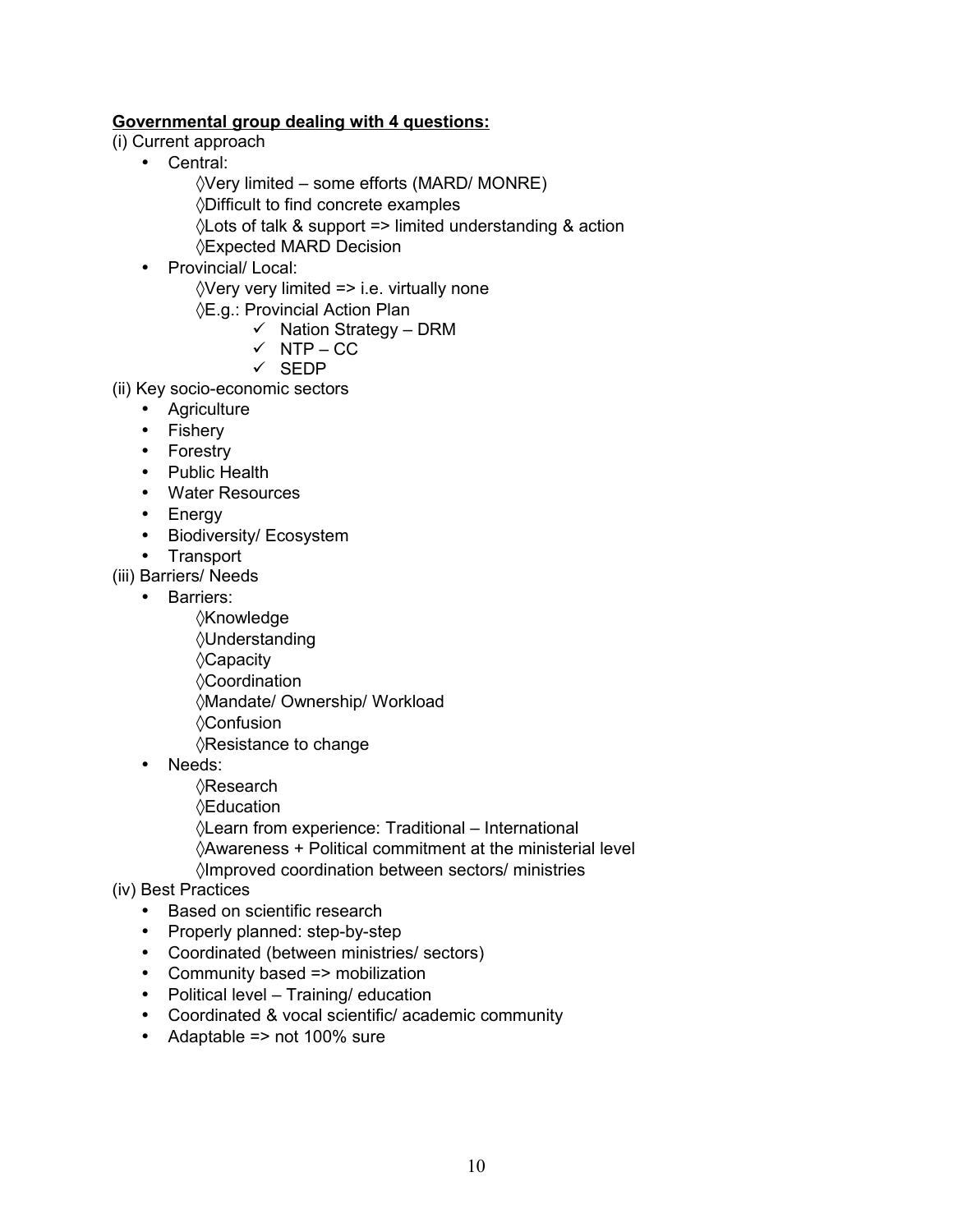## **Governmental group dealing with 4 questions:**

- (i) Current approach
	- Central:
		- $\sqrt{V}$ ery limited some efforts (MARD/ MONRE) ◊Difficult to find concrete examples ◊Lots of talk & support => limited understanding & action ◊Expected MARD Decision
	- Provincial/ Local:  $\Diamond$ Very very limited => i.e. virtually none
		- ◊E.g.: Provincial Action Plan
			- $\checkmark$  Nation Strategy DRM
			- $\checkmark$  NTP CC
			- $\checkmark$  SEDP
- (ii) Key socio-economic sectors
	- Agriculture
	- Fishery
	- Forestry
	- Public Health
	- Water Resources
	- Energy
	- Biodiversity/ Ecosystem
	- Transport

(iii) Barriers/ Needs

- Barriers:
	- ◊Knowledge ◊Understanding ◊Capacity ◊Coordination ◊Mandate/ Ownership/ Workload ◊Confusion
	- ◊Resistance to change
- Needs:
	- ◊Research
	- ◊Education

◊Learn from experience: Traditional – International

◊Awareness + Political commitment at the ministerial level

◊Improved coordination between sectors/ ministries

#### (iv) Best Practices

- Based on scientific research
- Properly planned: step-by-step
- Coordinated (between ministries/ sectors)
- Community based => mobilization
- Political level Training/ education
- Coordinated & vocal scientific/ academic community
- Adaptable => not 100% sure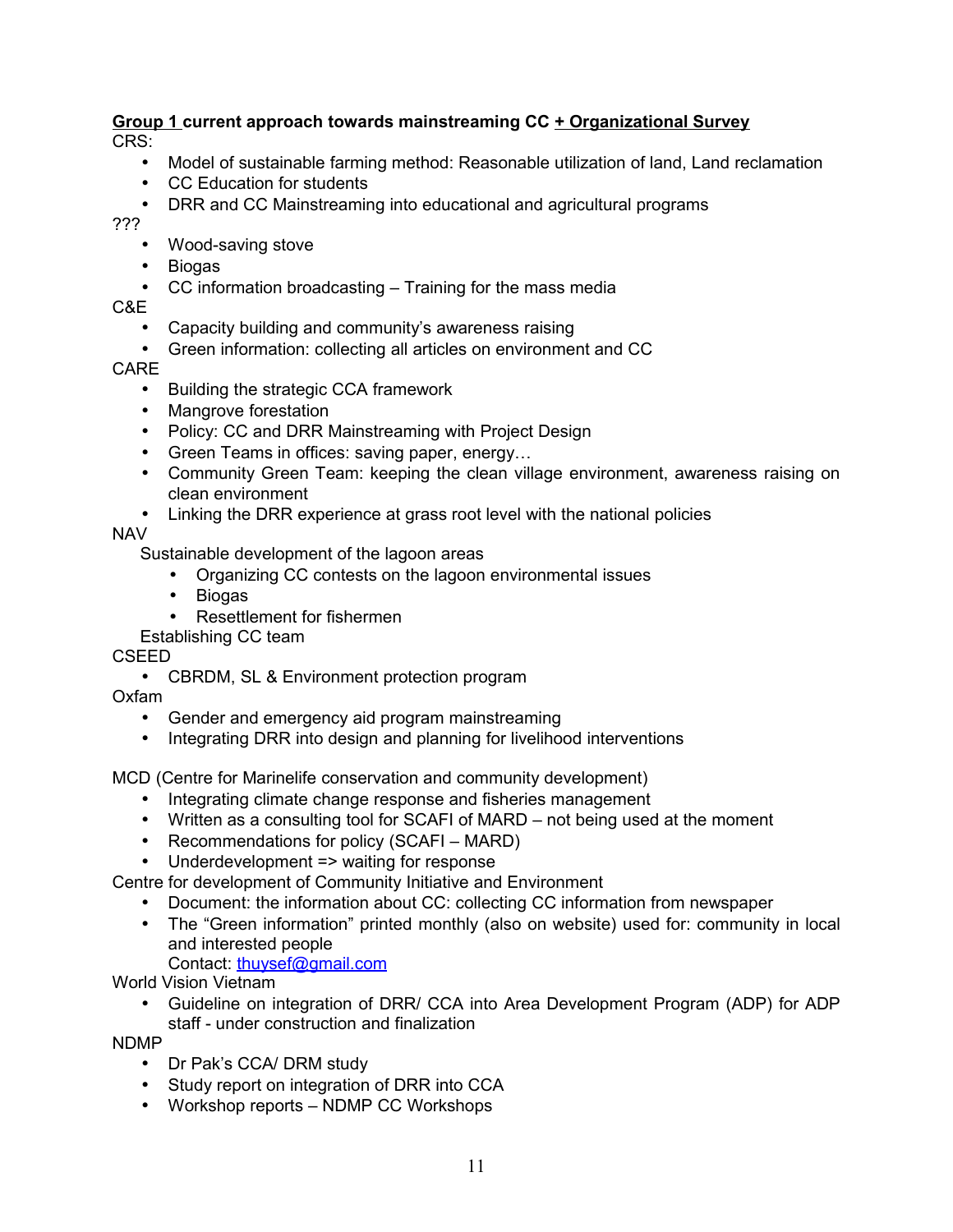#### **Group 1 current approach towards mainstreaming CC + Organizational Survey** CRS:

- Model of sustainable farming method: Reasonable utilization of land, Land reclamation
- CC Education for students
- DRR and CC Mainstreaming into educational and agricultural programs

???

- Wood-saving stove
- Biogas
- CC information broadcasting Training for the mass media

C&E

- Capacity building and community's awareness raising
- Green information: collecting all articles on environment and CC

CARE

- Building the strategic CCA framework
- Mangrove forestation
- Policy: CC and DRR Mainstreaming with Project Design
- Green Teams in offices: saving paper, energy…
- Community Green Team: keeping the clean village environment, awareness raising on clean environment
- Linking the DRR experience at grass root level with the national policies

## NAV

Sustainable development of the lagoon areas

- Organizing CC contests on the lagoon environmental issues
- Biogas
- Resettlement for fishermen
- Establishing CC team

CSEED

• CBRDM, SL & Environment protection program

Oxfam

- Gender and emergency aid program mainstreaming
- Integrating DRR into design and planning for livelihood interventions

MCD (Centre for Marinelife conservation and community development)

- Integrating climate change response and fisheries management
- Written as a consulting tool for SCAFI of MARD not being used at the moment
- Recommendations for policy (SCAFI MARD)
- Underdevelopment => waiting for response

Centre for development of Community Initiative and Environment

- Document: the information about CC: collecting CC information from newspaper
- The "Green information" printed monthly (also on website) used for: community in local and interested people

Contact: [thuysef@gmail.com](mailto:thuysef@gmail.com)

World Vision Vietnam

• Guideline on integration of DRR/ CCA into Area Development Program (ADP) for ADP staff - under construction and finalization

NDMP

- Dr Pak's CCA/ DRM study
- Study report on integration of DRR into CCA
- Workshop reports NDMP CC Workshops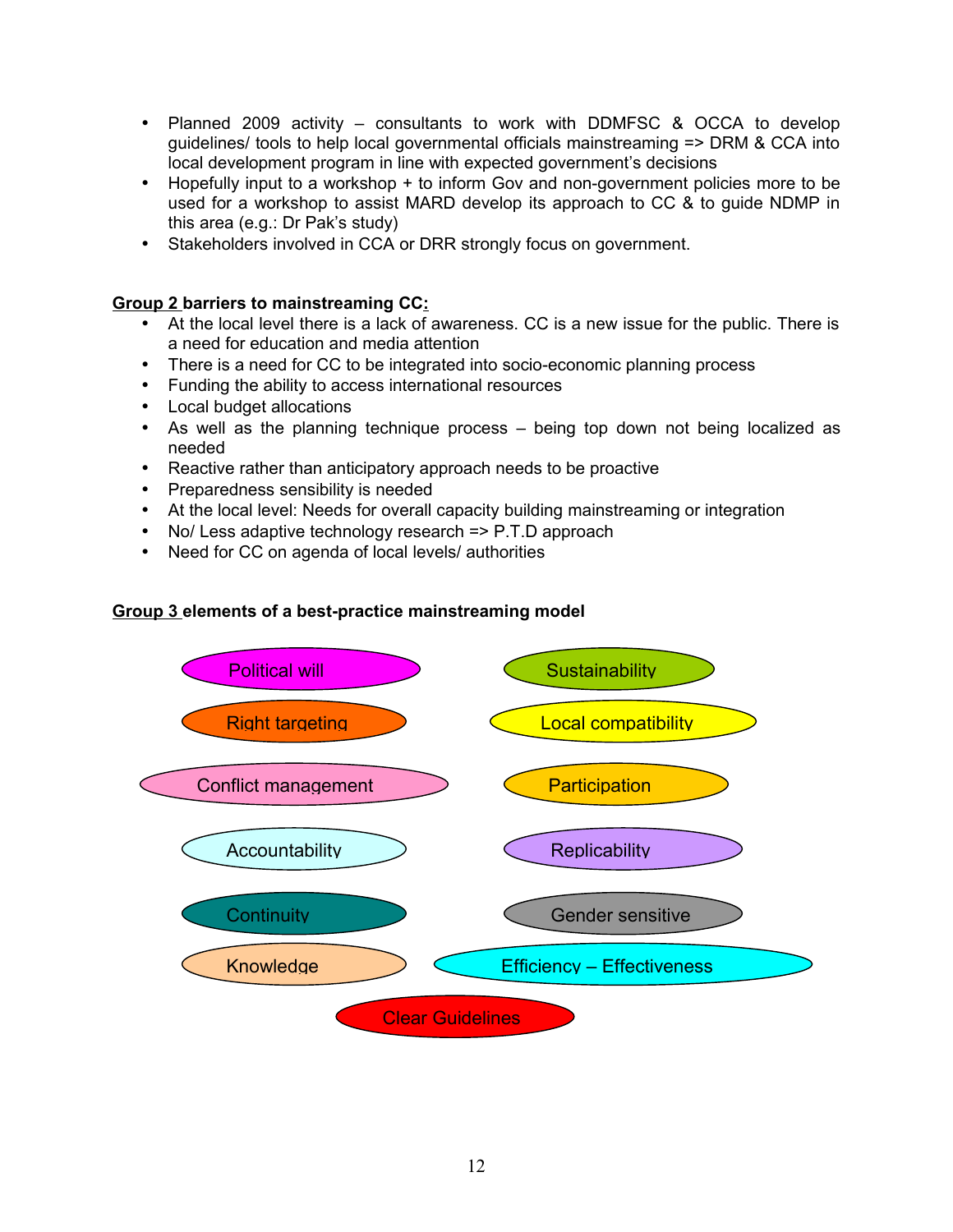- Planned 2009 activity consultants to work with DDMFSC & OCCA to develop guidelines/ tools to help local governmental officials mainstreaming => DRM & CCA into local development program in line with expected government's decisions
- Hopefully input to a workshop + to inform Gov and non-government policies more to be used for a workshop to assist MARD develop its approach to CC & to guide NDMP in this area (e.g.: Dr Pak's study)
- Stakeholders involved in CCA or DRR strongly focus on government.

#### **Group 2 barriers to mainstreaming CC:**

- At the local level there is a lack of awareness. CC is a new issue for the public. There is a need for education and media attention
- There is a need for CC to be integrated into socio-economic planning process
- Funding the ability to access international resources
- Local budget allocations
- As well as the planning technique process being top down not being localized as needed
- Reactive rather than anticipatory approach needs to be proactive
- Preparedness sensibility is needed
- At the local level: Needs for overall capacity building mainstreaming or integration
- No/ Less adaptive technology research => P.T.D approach
- Need for CC on agenda of local levels/ authorities

#### **Group 3 elements of a best-practice mainstreaming model**

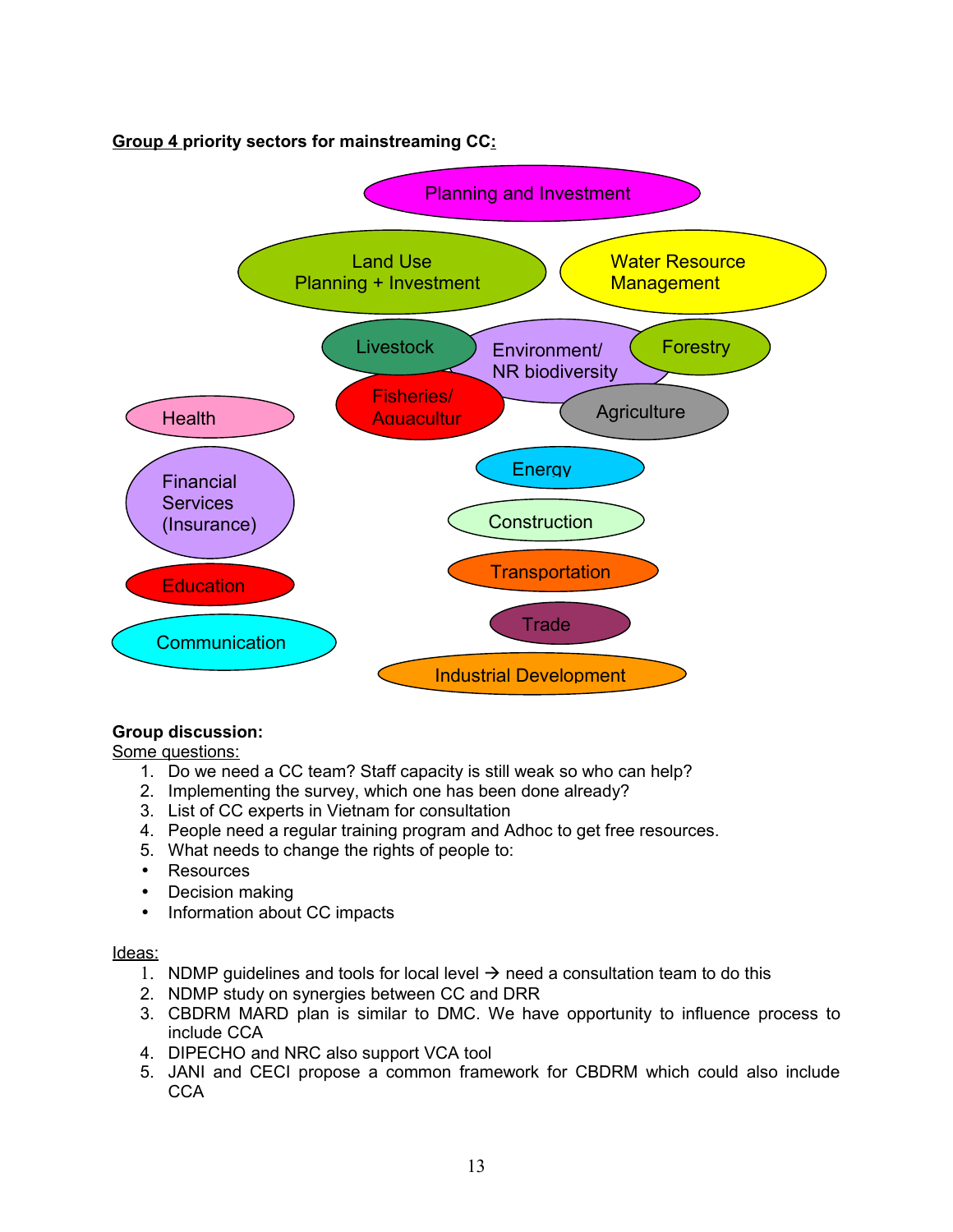**Group 4 priority sectors for mainstreaming CC:**



# **Group discussion:**

Some questions:

- 1. Do we need a CC team? Staff capacity is still weak so who can help?
- 2. Implementing the survey, which one has been done already?
- 3. List of CC experts in Vietnam for consultation
- 4. People need a regular training program and Adhoc to get free resources.
- 5. What needs to change the rights of people to:
- Resources
- Decision making
- Information about CC impacts

#### Ideas:

- 1. NDMP guidelines and tools for local level  $\rightarrow$  need a consultation team to do this
- 2. NDMP study on synergies between CC and DRR
- 3. CBDRM MARD plan is similar to DMC. We have opportunity to influence process to include CCA
- 4. DIPECHO and NRC also support VCA tool
- 5. JANI and CECI propose a common framework for CBDRM which could also include **CCA**